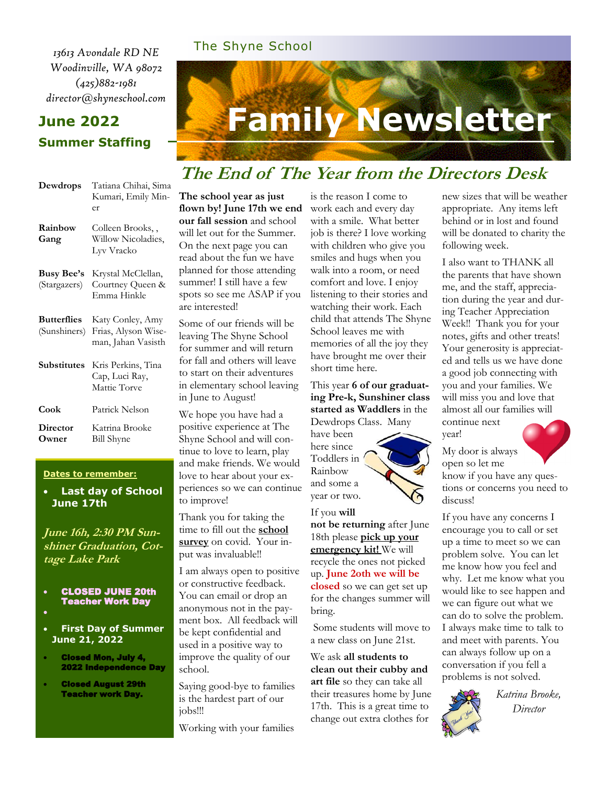*13613 Avondale RD NE Woodinville, WA 98072 (425)882-1981 director@shyneschool.com*

#### **June 2022 Summer Staffing**

# **Family Newsletter**

## **The End of The Year from the Directors Desk**

| Dewdrops                           | Tatiana Chihai, Sima<br>Kumari, Emily Min-<br>er              |
|------------------------------------|---------------------------------------------------------------|
| Rainbow<br>Gang                    | Colleen Brooks,,<br>Willow Nicoladies,<br>Lyv Vracko          |
| <b>Busy Bee's</b><br>(Stargazers)  | Krystal McClellan,<br>Courtney Queen &<br>Emma Hinkle         |
| <b>Butterflies</b><br>(Sunshiners) | Katy Conley, Amy<br>Frias, Alyson Wise-<br>man, Jahan Vasisth |
| Substitutes                        | Kris Perkins, Tina<br>Cap, Luci Ray,<br>Mattie Torve          |
| Cook                               | Patrick Nelson                                                |
| Director<br>Owner)                 | Katrina Brooke<br>Bill Shyne                                  |

#### **Dates to remember:**

• **Last day of School June 17th**

**June 16h, 2:30 PM Sunshiner Graduation, Cottage Lake Park**

- CLOSED JUNE 20th Teacher Work Day •
- 
- **First Day of Summer June 21, 2022**
- Closed Mon, July 4, 2022 Independence Day
- Closed August 29th Teacher work Day.

**The school year as just flown by! June 17th we end our fall session** and school will let out for the Summer. On the next page you can read about the fun we have planned for those attending summer! I still have a few spots so see me ASAP if you are interested!

The Shyne School

Some of our friends will be leaving The Shyne School for summer and will return for fall and others will leave to start on their adventures in elementary school leaving in June to August!

We hope you have had a positive experience at The Shyne School and will continue to love to learn, play and make friends. We would love to hear about your experiences so we can continue to improve!

Thank you for taking the time to fill out the **school survey** on covid. Your input was invaluable!!

I am always open to positive or constructive feedback. You can email or drop an anonymous not in the payment box. All feedback will be kept confidential and used in a positive way to improve the quality of our school.

Saying good-bye to families is the hardest part of our jobs!!!

Working with your families

is the reason I come to work each and every day with a smile. What better job is there? I love working with children who give you smiles and hugs when you walk into a room, or need comfort and love. I enjoy listening to their stories and watching their work. Each child that attends The Shyne School leaves me with memories of all the joy they have brought me over their short time here.

This year **6 of our graduating Pre-k, Sunshiner class started as Waddlers** in the Dewdrops Class. Many

have been here since Toddlers in Rainbow and some a year or two.

If you **will not be returning** after June 18th please **pick up your emergency kit!** We will recycle the ones not picked up. **June 2oth we will be closed** so we can get set up for the changes summer will bring.

Some students will move to a new class on June 21st.

We ask **all students to clean out their cubby and art file** so they can take all their treasures home by June 17th. This is a great time to change out extra clothes for

new sizes that will be weather appropriate. Any items left behind or in lost and found will be donated to charity the following week.

I also want to THANK all the parents that have shown me, and the staff, appreciation during the year and during Teacher Appreciation Week!! Thank you for your notes, gifts and other treats! Your generosity is appreciated and tells us we have done a good job connecting with you and your families. We will miss you and love that almost all our families will continue next

year!



My door is always open so let me

know if you have any questions or concerns you need to discuss!

If you have any concerns I encourage you to call or set up a time to meet so we can problem solve. You can let me know how you feel and why. Let me know what you would like to see happen and we can figure out what we can do to solve the problem. I always make time to talk to and meet with parents. You can always follow up on a conversation if you fell a problems is not solved.



*Katrina Brooke, Director*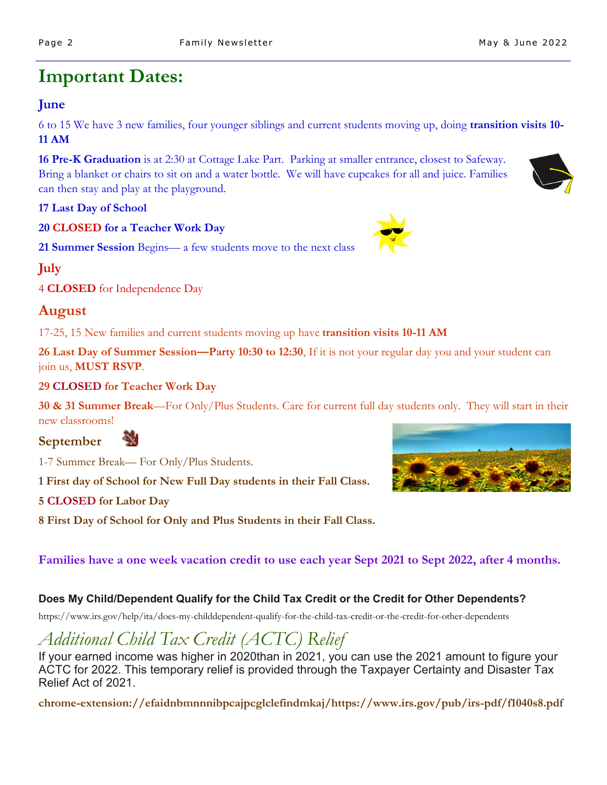# **Important Dates:**

#### **June**

6 to 15 We have 3 new families, four younger siblings and current students moving up, doing **transition visits 10- 11 AM**

**16 Pre-K Graduation** is at 2:30 at Cottage Lake Part. Parking at smaller entrance, closest to Safeway. Bring a blanket or chairs to sit on and a water bottle. We will have cupcakes for all and juice. Families can then stay and play at the playground.

**17 Last Day of School**

**20 CLOSED for a Teacher Work Day**

**21 Summer Session** Begins— a few students move to the next class

**July**

4 **CLOSED** for Independence Day

### **August**

17-25, 15 New families and current students moving up have **transition visits 10-11 AM**

**26 Last Day of Summer Session—Party 10:30 to 12:30**, If it is not your regular day you and your student can join us, **MUST RSVP**.

#### **29 CLOSED for Teacher Work Day**

44

**30 & 31 Summer Break**—For Only/Plus Students. Care for current full day students only. They will start in their new classrooms!

**September**

1-7 Summer Break— For Only/Plus Students.

**1 First day of School for New Full Day students in their Fall Class.**

#### **5 CLOSED for Labor Day**

**8 First Day of School for Only and Plus Students in their Fall Class.**

#### **Families have a one week vacation credit to use each year Sept 2021 to Sept 2022, after 4 months.**

#### **Does My Child/Dependent Qualify for the Child Tax Credit or the Credit for Other Dependents?**

https://www.irs.gov/help/ita/does-my-childdependent-qualify-for-the-child-tax-credit-or-the-credit-for-other-dependents

# *Additional Child Tax Credit (ACTC) Relief*

If your earned income was higher in 2020than in 2021, you can use the 2021 amount to figure your ACTC for 2022. This temporary relief is provided through the Taxpayer Certainty and Disaster Tax Relief Act of 2021.

**chrome-extension://efaidnbmnnnibpcajpcglclefindmkaj/https://www.irs.gov/pub/irs-pdf/f1040s8.pdf**